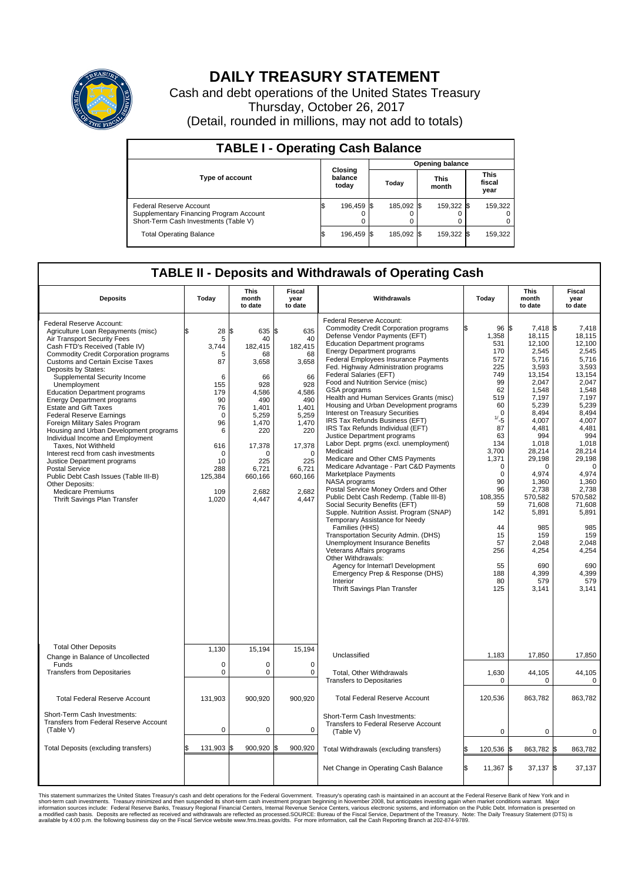

## **DAILY TREASURY STATEMENT**

Cash and debt operations of the United States Treasury Thursday, October 26, 2017 (Detail, rounded in millions, may not add to totals)

| <b>TABLE I - Operating Cash Balance</b>                                                                     |    |                             |  |                        |  |                      |  |                               |  |  |  |
|-------------------------------------------------------------------------------------------------------------|----|-----------------------------|--|------------------------|--|----------------------|--|-------------------------------|--|--|--|
|                                                                                                             |    | Closing<br>balance<br>today |  | <b>Opening balance</b> |  |                      |  |                               |  |  |  |
| <b>Type of account</b>                                                                                      |    |                             |  | Today                  |  | <b>This</b><br>month |  | <b>This</b><br>fiscal<br>year |  |  |  |
| Federal Reserve Account<br>Supplementary Financing Program Account<br>Short-Term Cash Investments (Table V) |    | 196,459 \$                  |  | 185.092 \$             |  | 159.322 \$           |  | 159,322                       |  |  |  |
| <b>Total Operating Balance</b>                                                                              | ıъ | 196,459 \$                  |  | 185,092 \$             |  | 159,322 \$           |  | 159,322                       |  |  |  |

## **TABLE II - Deposits and Withdrawals of Operating Cash**

| <b>Deposits</b>                                                                                                                                                                                                                                                                                                                                                                                                                                                                                                                                                                                                                                                                                                                                                                                          | Today                                                                                                                                                 | <b>This</b><br>month<br>to date                                                                                                                                   | Fiscal<br>year<br>to date                                                                                                                                             | Withdrawals                                                                                                                                                                                                                                                                                                                                                                                                                                                                                                                                                                                                                                                                                                                                                                                                                                                                                                                                                                                                                                                                                                                                                                                                                                  | Today                                                                                                                                                                                                                                              | <b>This</b><br>month<br>to date                                                                                                                                                                                                                                                                           | Fiscal<br>year<br>to date                                                                                                                                                                                                                                                                                 |
|----------------------------------------------------------------------------------------------------------------------------------------------------------------------------------------------------------------------------------------------------------------------------------------------------------------------------------------------------------------------------------------------------------------------------------------------------------------------------------------------------------------------------------------------------------------------------------------------------------------------------------------------------------------------------------------------------------------------------------------------------------------------------------------------------------|-------------------------------------------------------------------------------------------------------------------------------------------------------|-------------------------------------------------------------------------------------------------------------------------------------------------------------------|-----------------------------------------------------------------------------------------------------------------------------------------------------------------------|----------------------------------------------------------------------------------------------------------------------------------------------------------------------------------------------------------------------------------------------------------------------------------------------------------------------------------------------------------------------------------------------------------------------------------------------------------------------------------------------------------------------------------------------------------------------------------------------------------------------------------------------------------------------------------------------------------------------------------------------------------------------------------------------------------------------------------------------------------------------------------------------------------------------------------------------------------------------------------------------------------------------------------------------------------------------------------------------------------------------------------------------------------------------------------------------------------------------------------------------|----------------------------------------------------------------------------------------------------------------------------------------------------------------------------------------------------------------------------------------------------|-----------------------------------------------------------------------------------------------------------------------------------------------------------------------------------------------------------------------------------------------------------------------------------------------------------|-----------------------------------------------------------------------------------------------------------------------------------------------------------------------------------------------------------------------------------------------------------------------------------------------------------|
| Federal Reserve Account:<br>Agriculture Loan Repayments (misc)<br>Air Transport Security Fees<br>Cash FTD's Received (Table IV)<br>Commodity Credit Corporation programs<br><b>Customs and Certain Excise Taxes</b><br>Deposits by States:<br>Supplemental Security Income<br>Unemployment<br><b>Education Department programs</b><br><b>Energy Department programs</b><br><b>Estate and Gift Taxes</b><br><b>Federal Reserve Earnings</b><br>Foreign Military Sales Program<br>Housing and Urban Development programs<br>Individual Income and Employment<br>Taxes, Not Withheld<br>Interest recd from cash investments<br>Justice Department programs<br><b>Postal Service</b><br>Public Debt Cash Issues (Table III-B)<br>Other Deposits:<br><b>Medicare Premiums</b><br>Thrift Savings Plan Transfer | 28<br>5<br>3,744<br>5<br>87<br>6<br>155<br>179<br>90<br>76<br>$\mathbf 0$<br>96<br>$\,6\,$<br>616<br>$\Omega$<br>10<br>288<br>125,384<br>109<br>1,020 | 635 \$<br>ß<br>40<br>182,415<br>68<br>3,658<br>66<br>928<br>4,586<br>490<br>1,401<br>5,259<br>1,470<br>220<br>17,378<br>225<br>6,721<br>660,166<br>2,682<br>4,447 | 635<br>40<br>182,415<br>68<br>3,658<br>66<br>928<br>4,586<br>490<br>1,401<br>5,259<br>1,470<br>220<br>17,378<br>$\Omega$<br>225<br>6,721<br>660,166<br>2,682<br>4,447 | Federal Reserve Account:<br><b>Commodity Credit Corporation programs</b><br>Defense Vendor Payments (EFT)<br><b>Education Department programs</b><br><b>Energy Department programs</b><br>Federal Employees Insurance Payments<br>Fed. Highway Administration programs<br><b>Federal Salaries (EFT)</b><br>Food and Nutrition Service (misc)<br>GSA programs<br>Health and Human Services Grants (misc)<br>Housing and Urban Development programs<br>Interest on Treasury Securities<br>IRS Tax Refunds Business (EFT)<br>IRS Tax Refunds Individual (EFT)<br>Justice Department programs<br>Labor Dept. prgms (excl. unemployment)<br>Medicaid<br>Medicare and Other CMS Payments<br>Medicare Advantage - Part C&D Payments<br>Marketplace Payments<br>NASA programs<br>Postal Service Money Orders and Other<br>Public Debt Cash Redemp. (Table III-B)<br>Social Security Benefits (EFT)<br>Supple. Nutrition Assist. Program (SNAP)<br>Temporary Assistance for Needy<br>Families (HHS)<br>Transportation Security Admin. (DHS)<br>Unemployment Insurance Benefits<br>Veterans Affairs programs<br>Other Withdrawals:<br>Agency for Internat'l Development<br>Emergency Prep & Response (DHS)<br>Interior<br>Thrift Savings Plan Transfer | 96 \$<br>1,358<br>531<br>170<br>572<br>225<br>749<br>99<br>62<br>519<br>60<br>$\Omega$<br>1/25<br>87<br>63<br>134<br>3,700<br>1,371<br>$\Omega$<br>$\Omega$<br>90<br>96<br>108,355<br>59<br>142<br>44<br>15<br>57<br>256<br>55<br>188<br>80<br>125 | 7,418 \$<br>18,115<br>12.100<br>2,545<br>5,716<br>3,593<br>13.154<br>2,047<br>1,548<br>7,197<br>5,239<br>8,494<br>4,007<br>4.481<br>994<br>1,018<br>28,214<br>29,198<br>$\Omega$<br>4,974<br>1,360<br>2,738<br>570.582<br>71,608<br>5,891<br>985<br>159<br>2,048<br>4,254<br>690<br>4,399<br>579<br>3.141 | 7,418<br>18,115<br>12.100<br>2,545<br>5,716<br>3,593<br>13.154<br>2,047<br>1,548<br>7,197<br>5,239<br>8,494<br>4,007<br>4,481<br>994<br>1,018<br>28,214<br>29,198<br>$\mathbf 0$<br>4,974<br>1,360<br>2,738<br>570.582<br>71,608<br>5,891<br>985<br>159<br>2,048<br>4,254<br>690<br>4,399<br>579<br>3.141 |
| <b>Total Other Deposits</b><br>Change in Balance of Uncollected                                                                                                                                                                                                                                                                                                                                                                                                                                                                                                                                                                                                                                                                                                                                          | 1,130                                                                                                                                                 | 15,194                                                                                                                                                            | 15,194                                                                                                                                                                | Unclassified                                                                                                                                                                                                                                                                                                                                                                                                                                                                                                                                                                                                                                                                                                                                                                                                                                                                                                                                                                                                                                                                                                                                                                                                                                 | 1,183                                                                                                                                                                                                                                              | 17,850                                                                                                                                                                                                                                                                                                    | 17,850                                                                                                                                                                                                                                                                                                    |
| Funds<br><b>Transfers from Depositaries</b>                                                                                                                                                                                                                                                                                                                                                                                                                                                                                                                                                                                                                                                                                                                                                              | $\mathbf 0$<br>$\pmb{0}$                                                                                                                              | $\Omega$<br>$\pmb{0}$                                                                                                                                             | $\Omega$<br>$\mathbf 0$                                                                                                                                               | Total, Other Withdrawals<br><b>Transfers to Depositaries</b>                                                                                                                                                                                                                                                                                                                                                                                                                                                                                                                                                                                                                                                                                                                                                                                                                                                                                                                                                                                                                                                                                                                                                                                 | 1,630<br>$\mathbf 0$                                                                                                                                                                                                                               | 44,105<br>$\mathbf 0$                                                                                                                                                                                                                                                                                     | 44,105<br>$\mathbf 0$                                                                                                                                                                                                                                                                                     |
| <b>Total Federal Reserve Account</b>                                                                                                                                                                                                                                                                                                                                                                                                                                                                                                                                                                                                                                                                                                                                                                     | 131,903                                                                                                                                               | 900,920                                                                                                                                                           | 900,920                                                                                                                                                               | <b>Total Federal Reserve Account</b>                                                                                                                                                                                                                                                                                                                                                                                                                                                                                                                                                                                                                                                                                                                                                                                                                                                                                                                                                                                                                                                                                                                                                                                                         | 120,536                                                                                                                                                                                                                                            | 863,782                                                                                                                                                                                                                                                                                                   | 863,782                                                                                                                                                                                                                                                                                                   |
| Short-Term Cash Investments:<br>Transfers from Federal Reserve Account<br>(Table V)                                                                                                                                                                                                                                                                                                                                                                                                                                                                                                                                                                                                                                                                                                                      | $\mathbf 0$                                                                                                                                           | $\mathbf 0$                                                                                                                                                       | 0                                                                                                                                                                     | Short-Term Cash Investments:<br>Transfers to Federal Reserve Account<br>(Table V)                                                                                                                                                                                                                                                                                                                                                                                                                                                                                                                                                                                                                                                                                                                                                                                                                                                                                                                                                                                                                                                                                                                                                            | $\mathbf 0$                                                                                                                                                                                                                                        | $\mathbf 0$                                                                                                                                                                                                                                                                                               | 0                                                                                                                                                                                                                                                                                                         |
| Total Deposits (excluding transfers)                                                                                                                                                                                                                                                                                                                                                                                                                                                                                                                                                                                                                                                                                                                                                                     | 131,903<br>\$                                                                                                                                         | 900,920<br>l\$                                                                                                                                                    | \$<br>900,920                                                                                                                                                         | Total Withdrawals (excluding transfers)                                                                                                                                                                                                                                                                                                                                                                                                                                                                                                                                                                                                                                                                                                                                                                                                                                                                                                                                                                                                                                                                                                                                                                                                      | 120,536                                                                                                                                                                                                                                            | 863,782 \$<br>l\$                                                                                                                                                                                                                                                                                         | 863,782                                                                                                                                                                                                                                                                                                   |
|                                                                                                                                                                                                                                                                                                                                                                                                                                                                                                                                                                                                                                                                                                                                                                                                          |                                                                                                                                                       |                                                                                                                                                                   |                                                                                                                                                                       | Net Change in Operating Cash Balance                                                                                                                                                                                                                                                                                                                                                                                                                                                                                                                                                                                                                                                                                                                                                                                                                                                                                                                                                                                                                                                                                                                                                                                                         | 11,367 \$<br>l\$                                                                                                                                                                                                                                   | $37,137$ \$                                                                                                                                                                                                                                                                                               | 37,137                                                                                                                                                                                                                                                                                                    |

This statement summarizes the United States Treasury's cash and debt operations for the Federal Government. Treasury soperating in November 2008, but anticiarde in a cocount at the Federal Reserve Bank of New York and in<br>s